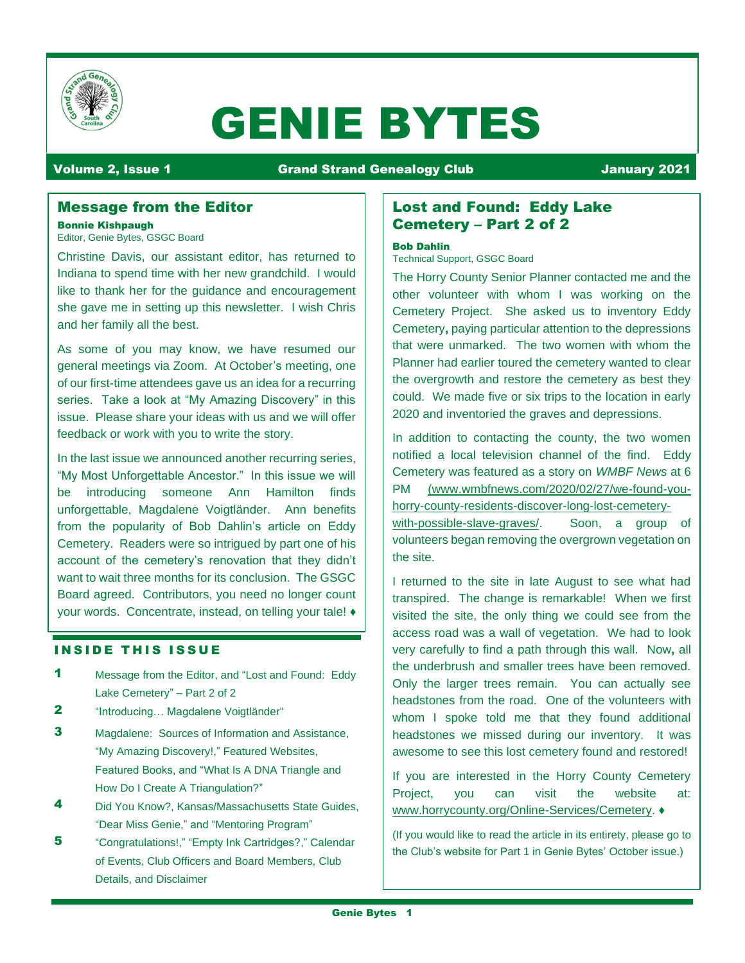

# GENIE BYTES

## Volume 2, Issue 1 Grand Strand Genealogy Club January 2021

## Message from the Editor

#### Bonnie Kishpaugh

Editor, Genie Bytes, GSGC Board

Christine Davis, our assistant editor, has returned to Indiana to spend time with her new grandchild. I would like to thank her for the guidance and encouragement she gave me in setting up this newsletter. I wish Chris and her family all the best.

As some of you may know, we have resumed our general meetings via Zoom. At October's meeting, one of our first-time attendees gave us an idea for a recurring series. Take a look at "My Amazing Discovery" in this issue. Please share your ideas with us and we will offer feedback or work with you to write the story.

In the last issue we announced another recurring series, "My Most Unforgettable Ancestor." In this issue we will be introducing someone Ann Hamilton finds unforgettable, Magdalene Voigtländer. Ann benefits from the popularity of Bob Dahlin's article on Eddy Cemetery. Readers were so intrigued by part one of his account of the cemetery's renovation that they didn't want to wait three months for its conclusion. The GSGC Board agreed. Contributors, you need no longer count your words. Concentrate, instead, on telling your tale! ♦

### **INSIDE THIS ISSUE**

- **1** Message from the Editor, and "Lost and Found: Eddy Lake Cemetery" – Part 2 of 2
- 2 "Introducing... Magdalene Voigtländer"
- 3 Magdalene: Sources of Information and Assistance, "My Amazing Discovery!," Featured Websites, Featured Books, and "What Is A DNA Triangle and How Do I Create A Triangulation?"
- 4 Did You Know?, Kansas/Massachusetts State Guides, "Dear Miss Genie," and "Mentoring Program"
- 5 **5** "Congratulations!," "Empty Ink Cartridges?," Calendar of Events, Club Officers and Board Members, Club Details, and Disclaimer

## Lost and Found: Eddy Lake Cemetery – Part 2 of 2

#### Bob Dahlin

Technical Support, GSGC Board

The Horry County Senior Planner contacted me and the other volunteer with whom I was working on the Cemetery Project. She asked us to inventory Eddy Cemetery**,** paying particular attention to the depressions that were unmarked. The two women with whom the Planner had earlier toured the cemetery wanted to clear the overgrowth and restore the cemetery as best they could. We made five or six trips to the location in early 2020 and inventoried the graves and depressions.

In addition to contacting the county, the two women notified a local television channel of the find. Eddy Cemetery was featured as a story on *WMBF News* at 6 PM [\(www.wmbfnews.com/2020/02/27/we-found-you](http://www.wmbfnews.com/2020/02/27/we-found-you-horry-county-residents-discover-long-lost-cemetery-with-possible-slave-graves/)[horry-county-residents-discover-long-lost-cemetery](http://www.wmbfnews.com/2020/02/27/we-found-you-horry-county-residents-discover-long-lost-cemetery-with-possible-slave-graves/)[with-possible-slave-graves/.](http://www.wmbfnews.com/2020/02/27/we-found-you-horry-county-residents-discover-long-lost-cemetery-with-possible-slave-graves/) Soon, a group of volunteers began removing the overgrown vegetation on the site.

I returned to the site in late August to see what had transpired. The change is remarkable! When we first visited the site, the only thing we could see from the access road was a wall of vegetation. We had to look very carefully to find a path through this wall. Now**,** all the underbrush and smaller trees have been removed. Only the larger trees remain. You can actually see headstones from the road. One of the volunteers with whom I spoke told me that they found additional headstones we missed during our inventory. It was awesome to see this lost cemetery found and restored!

If you are interested in the Horry County Cemetery Project, you can visit the website at: [www.horrycounty.org/Online-Services/Cemetery.](http://www.horrycounty.org/Online-Services/Cemetery) ♦

(If you would like to read the article in its entirety, please go to the Club's website for Part 1 in Genie Bytes' October issue.)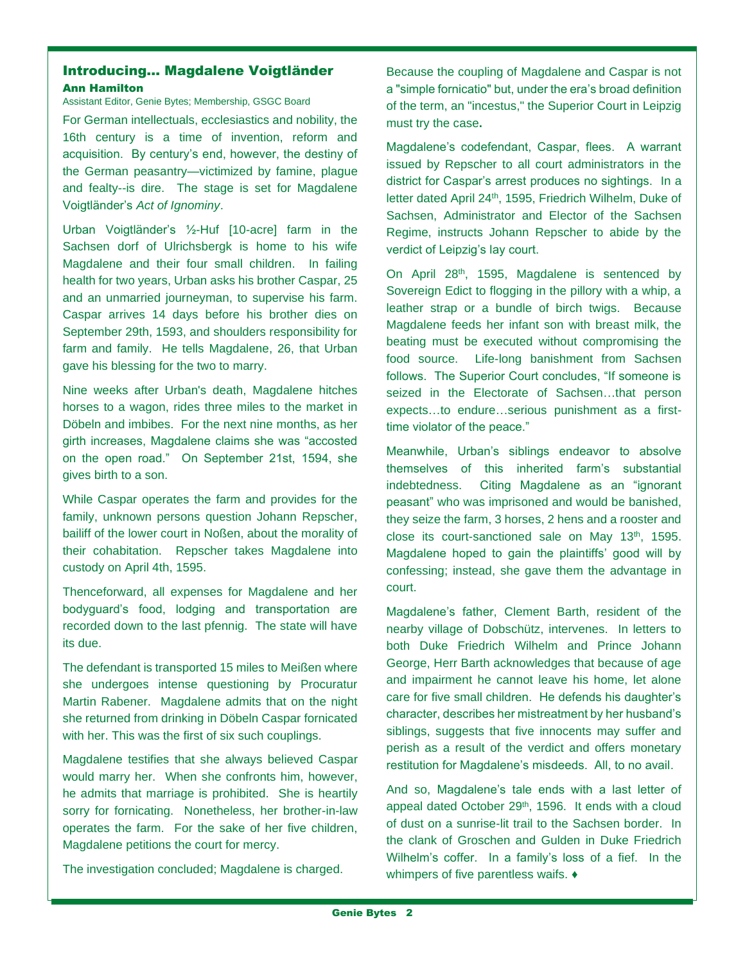## Introducing… Magdalene Voigtländer Ann Hamilton

Assistant Editor, Genie Bytes; Membership, GSGC Board

For German intellectuals, ecclesiastics and nobility, the 16th century is a time of invention, reform and acquisition. By century's end, however, the destiny of the German peasantry—victimized by famine, plague and fealty--is dire. The stage is set for Magdalene Voigtländer's *Act of Ignominy*.

Urban Voigtländer's ½-Huf [10-acre] farm in the Sachsen dorf of Ulrichsbergk is home to his wife Magdalene and their four small children. In failing health for two years, Urban asks his brother Caspar, 25 and an unmarried journeyman, to supervise his farm. Caspar arrives 14 days before his brother dies on September 29th, 1593, and shoulders responsibility for farm and family. He tells Magdalene, 26, that Urban gave his blessing for the two to marry.

Nine weeks after Urban's death, Magdalene hitches horses to a wagon, rides three miles to the market in Döbeln and imbibes. For the next nine months, as her girth increases, Magdalene claims she was "accosted on the open road." On September 21st, 1594, she gives birth to a son.

While Caspar operates the farm and provides for the family, unknown persons question Johann Repscher, bailiff of the lower court in Noßen, about the morality of their cohabitation. Repscher takes Magdalene into custody on April 4th, 1595.

Thenceforward, all expenses for Magdalene and her bodyguard's food, lodging and transportation are recorded down to the last pfennig. The state will have its due.

The defendant is transported 15 miles to Meißen where she undergoes intense questioning by Procuratur Martin Rabener. Magdalene admits that on the night she returned from drinking in Döbeln Caspar fornicated with her. This was the first of six such couplings.

Magdalene testifies that she always believed Caspar would marry her. When she confronts him, however, he admits that marriage is prohibited. She is heartily sorry for fornicating. Nonetheless, her brother-in-law operates the farm. For the sake of her five children, Magdalene petitions the court for mercy.

The investigation concluded; Magdalene is charged.

Because the coupling of Magdalene and Caspar is not a "simple fornicatio" but, under the era's broad definition of the term, an "incestus," the Superior Court in Leipzig must try the case**.**

Magdalene's codefendant, Caspar, flees. A warrant issued by Repscher to all court administrators in the district for Caspar's arrest produces no sightings. In a letter dated April 24th, 1595, Friedrich Wilhelm, Duke of Sachsen, Administrator and Elector of the Sachsen Regime, instructs Johann Repscher to abide by the verdict of Leipzig's lay court.

On April 28<sup>th</sup>, 1595, Magdalene is sentenced by Sovereign Edict to flogging in the pillory with a whip, a leather strap or a bundle of birch twigs. Because Magdalene feeds her infant son with breast milk, the beating must be executed without compromising the food source. Life-long banishment from Sachsen follows. The Superior Court concludes, "If someone is seized in the Electorate of Sachsen…that person expects…to endure…serious punishment as a firsttime violator of the peace."

Meanwhile, Urban's siblings endeavor to absolve themselves of this inherited farm's substantial indebtedness. Citing Magdalene as an "ignorant peasant" who was imprisoned and would be banished, they seize the farm, 3 horses, 2 hens and a rooster and close its court-sanctioned sale on May  $13<sup>th</sup>$ , 1595. Magdalene hoped to gain the plaintiffs' good will by confessing; instead, she gave them the advantage in court.

Magdalene's father, Clement Barth, resident of the nearby village of Dobschütz, intervenes. In letters to both Duke Friedrich Wilhelm and Prince Johann George, Herr Barth acknowledges that because of age and impairment he cannot leave his home, let alone care for five small children. He defends his daughter's character, describes her mistreatment by her husband's siblings, suggests that five innocents may suffer and perish as a result of the verdict and offers monetary restitution for Magdalene's misdeeds. All, to no avail.

And so, Magdalene's tale ends with a last letter of appeal dated October 29<sup>th</sup>, 1596. It ends with a cloud of dust on a sunrise-lit trail to the Sachsen border. In the clank of Groschen and Gulden in Duke Friedrich Wilhelm's coffer. In a family's loss of a fief. In the whimpers of five parentless waifs. ♦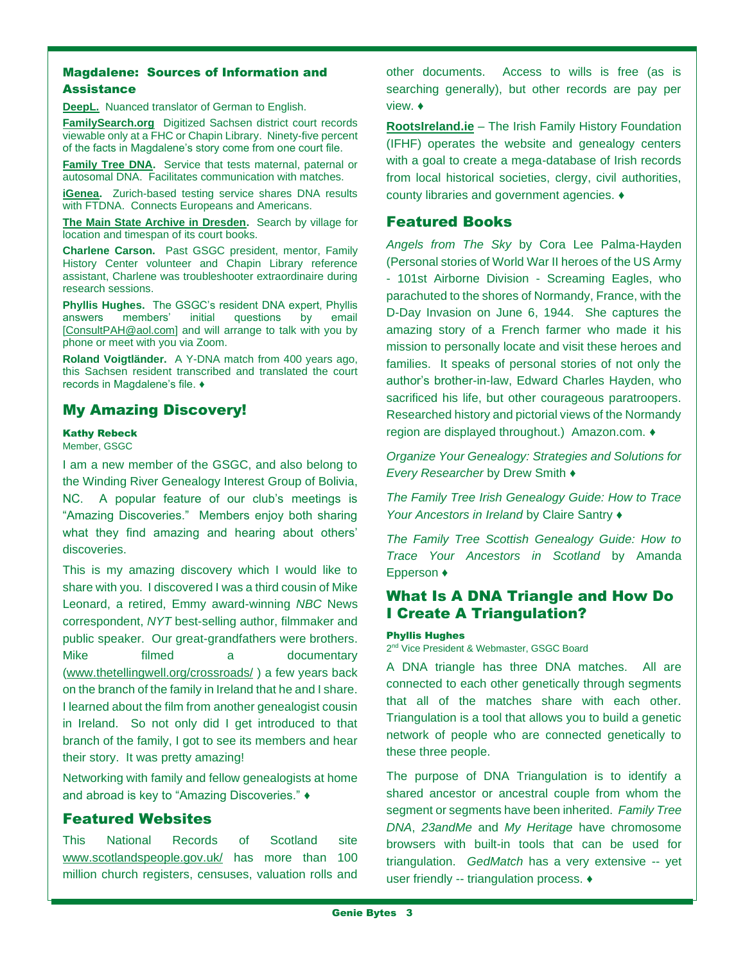## Magdalene: Sources of Information and

#### **Assistance**

**[DeepL.](https://www.deepl.com/en/translator)** Nuanced translator of German to English.

**[FamilySearch.org](https://www.familysearch.org/search/catalog/955646?availability=Family%20History%20Library)** Digitized Sachsen district court records viewable only at a FHC or Chapin Library. Ninety-five percent of the facts in Magdalene's story come from one court file.

**[Family Tree DNA.](https://www.familytreedna.com/)** Service that tests maternal, paternal or autosomal DNA. Facilitates communication with matches.

**[iGenea.](https://www.igenea.us/en/home)** Zurich-based testing service shares DNA results with FTDNA. Connects Europeans and Americans.

**[The Main State Archive in Dresden.](http://www.saechsische-gerichtsbuecher.de/)** Search by village for location and timespan of its court books.

**Charlene Carson.** Past GSGC president, mentor, Family History Center volunteer and Chapin Library reference assistant, Charlene was troubleshooter extraordinaire during research sessions.

**Phyllis Hughes.** The GSGC's resident DNA expert, Phyllis answers members' initial questions by email [\[ConsultPAH@aol.com\]](mailto:ConsultPAH@aol.com) and will arrange to talk with you by phone or meet with you via Zoom.

**Roland Voigtländer.** A Y-DNA match from 400 years ago, this Sachsen resident transcribed and translated the court records in Magdalene's file. ♦

## My Amazing Discovery!

#### Kathy Rebeck

Member, GSGC

I am a new member of the GSGC, and also belong to the Winding River Genealogy Interest Group of Bolivia, NC. A popular feature of our club's meetings is "Amazing Discoveries." Members enjoy both sharing what they find amazing and hearing about others' discoveries.

This is my amazing discovery which I would like to share with you. I discovered I was a third cousin of Mike Leonard, a retired, Emmy award-winning *NBC* News correspondent, *NYT* best-selling author, filmmaker and public speaker. Our great-grandfathers were brothers. Mike filmed a documentary [\(www.thetellingwell.org/crossroads/](http://www.thetellingwell.org/crossroads/) ) a few years back on the branch of the family in Ireland that he and I share. I learned about the film from another genealogist cousin in Ireland. So not only did I get introduced to that branch of the family, I got to see its members and hear their story. It was pretty amazing!

Networking with family and fellow genealogists at home and abroad is key to "Amazing Discoveries." ♦

### Featured Websites

This National Records of Scotland site [www.scotlandspeople.gov.uk/](http://www.scotlandspeople.gov.uk/) has more than 100 million church registers, censuses, valuation rolls and other documents. Access to wills is free (as is searching generally), but other records are pay per view. ♦

**[RootsIreland.ie](http://www.rootsireland.ie/)** – The Irish Family History Foundation (IFHF) operates the website and genealogy centers with a goal to create a mega-database of Irish records from local historical societies, clergy, civil authorities, county libraries and government agencies. ♦

## Featured Books

*Angels from The Sky* by Cora Lee Palma-Hayden (Personal stories of World War II heroes of the US Army - 101st Airborne Division - Screaming Eagles, who parachuted to the shores of Normandy, France, with the D-Day Invasion on June 6, 1944. She captures the amazing story of a French farmer who made it his mission to personally locate and visit these heroes and families. It speaks of personal stories of not only the author's brother-in-law, Edward Charles Hayden, who sacrificed his life, but other courageous paratroopers. Researched history and pictorial views of the Normandy region are displayed throughout.) Amazon.com. ♦

*Organize Your Genealogy: Strategies and Solutions for Every Researcher* by Drew Smith ♦

*The Family Tree Irish Genealogy Guide: How to Trace Your Ancestors in Ireland* by Claire Santry ♦

*The Family Tree Scottish Genealogy Guide: How to Trace Your Ancestors in Scotland* by Amanda Epperson ♦

## What Is A DNA Triangle and How Do I Create A Triangulation?

#### Phyllis Hughes

2<sup>nd</sup> Vice President & Webmaster, GSGC Board

A DNA triangle has three DNA matches. All are connected to each other genetically through segments that all of the matches share with each other. Triangulation is a tool that allows you to build a genetic network of people who are connected genetically to these three people.

The purpose of DNA Triangulation is to identify a shared ancestor or ancestral couple from whom the segment or segments have been inherited. *Family Tree DNA*, *23andMe* and *My Heritage* have chromosome browsers with built-in tools that can be used for triangulation. *GedMatch* has a very extensive -- yet user friendly -- triangulation process. ♦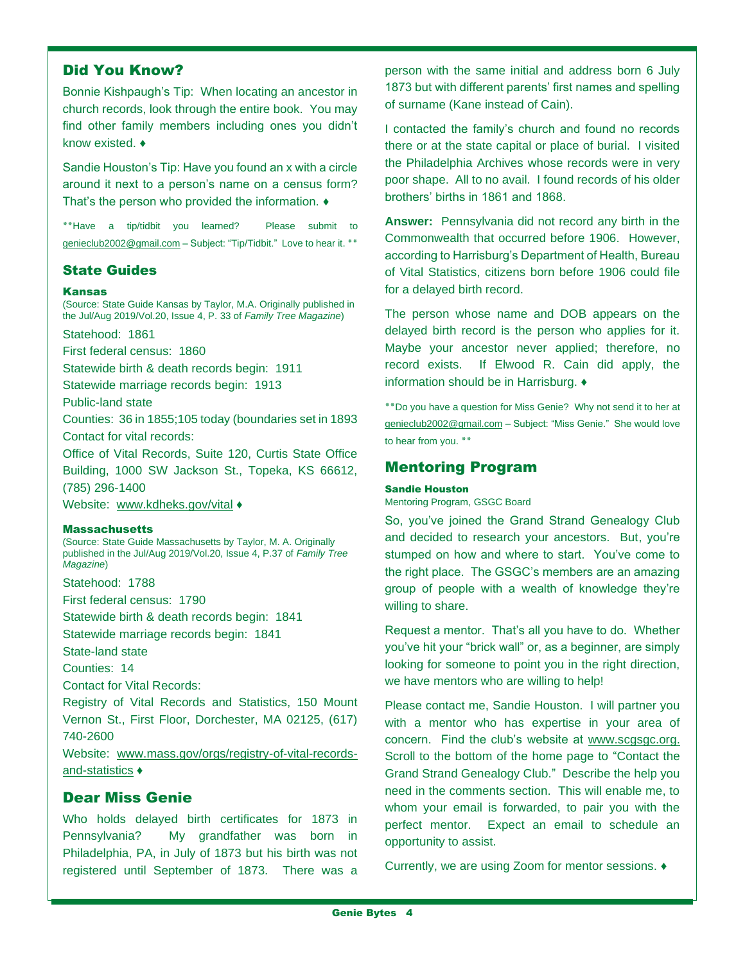## Did You Know?

Bonnie Kishpaugh's Tip: When locating an ancestor in church records, look through the entire book. You may find other family members including ones you didn't know existed. ♦

Sandie Houston's Tip: Have you found an x with a circle around it next to a person's name on a census form? That's the person who provided the information. ♦

**٭٭**Have a tip/tidbit you learned? Please submit to [genieclub2002@gmail.com](mailto:genieclub2002@gmail.com) – Subject: "Tip/Tidbit." Love to hear it. **٭٭**

## State Guides

#### Kansas

(Source: State Guide Kansas by Taylor, M.A. Originally published in the Jul/Aug 2019/Vol.20, Issue 4, P. 33 of *Family Tree Magazine*)

Statehood: 1861

First federal census: 1860

Statewide birth & death records begin: 1911

Statewide marriage records begin: 1913

Public-land state

Counties: 36 in 1855;105 today (boundaries set in 1893 Contact for vital records:

Office of Vital Records, Suite 120, Curtis State Office Building, 1000 SW Jackson St., Topeka, KS 66612, (785) 296-1400

Website: [www.kdheks.gov/](http://www.kdheks.gov/)vital  $\blacklozenge$ 

#### **Massachusetts**

(Source: State Guide Massachusetts by Taylor, M. A. Originally published in the Jul/Aug 2019/Vol.20, Issue 4, P.37 of *Family Tree Magazine*)

Statehood: 1788

First federal census: 1790

Statewide birth & death records begin: 1841

Statewide marriage records begin: 1841

State-land state

Counties: 14

Contact for Vital Records:

Registry of Vital Records and Statistics, 150 Mount Vernon St., First Floor, Dorchester, MA 02125, (617) 740-2600

Website: [www.mass.gov/orgs/registry-of-vital-records](http://www.mass.gov/orgs/registry-of-vital-records-and-statistics)[and-statistics](http://www.mass.gov/orgs/registry-of-vital-records-and-statistics) ♦

## Dear Miss Genie

Who holds delayed birth certificates for 1873 in Pennsylvania? My grandfather was born in Philadelphia, PA, in July of 1873 but his birth was not registered until September of 1873. There was a person with the same initial and address born 6 July 1873 but with different parents' first names and spelling of surname (Kane instead of Cain).

I contacted the family's church and found no records there or at the state capital or place of burial. I visited the Philadelphia Archives whose records were in very poor shape. All to no avail. I found records of his older brothers' births in 1861 and 1868.

**Answer:** Pennsylvania did not record any birth in the Commonwealth that occurred before 1906. However, according to Harrisburg's Department of Health, Bureau of Vital Statistics, citizens born before 1906 could file for a delayed birth record.

The person whose name and DOB appears on the delayed birth record is the person who applies for it. Maybe your ancestor never applied; therefore, no record exists. If Elwood R. Cain did apply, the information should be in Harrisburg. ♦

**٭٭**Do you have a question for Miss Genie? Why not send it to her at [genieclub2002@gmail.com](mailto:genieclub2002@gmail.com) – Subject: "Miss Genie." She would love to hear from you. **٭٭**

## Mentoring Program

#### Sandie Houston

Mentoring Program, GSGC Board

So, you've joined the Grand Strand Genealogy Club and decided to research your ancestors. But, you're stumped on how and where to start. You've come to the right place. The GSGC's members are an amazing group of people with a wealth of knowledge they're willing to share.

Request a mentor. That's all you have to do. Whether you've hit your "brick wall" or, as a beginner, are simply looking for someone to point you in the right direction, we have mentors who are willing to help!

Please contact me, Sandie Houston. I will partner you with a mentor who has expertise in your area of concern. Find the club's website at [www.scgsgc.org.](http://www.scgsgc.org/) Scroll to the bottom of the home page to "Contact the Grand Strand Genealogy Club." Describe the help you need in the comments section. This will enable me, to whom your email is forwarded, to pair you with the perfect mentor. Expect an email to schedule an opportunity to assist.

Currently, we are using Zoom for mentor sessions. ♦